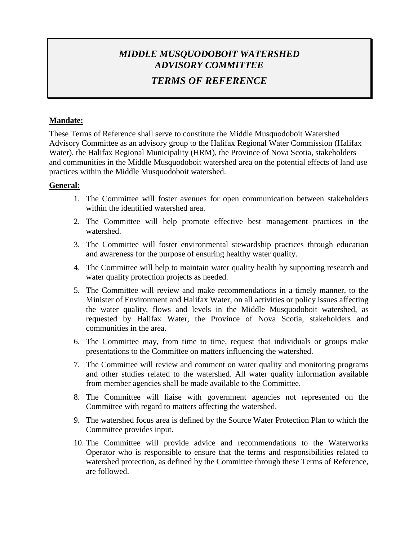## *MIDDLE MUSQUODOBOIT WATERSHED ADVISORY COMMITTEE*

# *TERMS OF REFERENCE*

### **Mandate:**

These Terms of Reference shall serve to constitute the Middle Musquodoboit Watershed Advisory Committee as an advisory group to the Halifax Regional Water Commission (Halifax Water), the Halifax Regional Municipality (HRM), the Province of Nova Scotia, stakeholders and communities in the Middle Musquodoboit watershed area on the potential effects of land use practices within the Middle Musquodoboit watershed.

## **General:**

- 1. The Committee will foster avenues for open communication between stakeholders within the identified watershed area.
- 2. The Committee will help promote effective best management practices in the watershed.
- 3. The Committee will foster environmental stewardship practices through education and awareness for the purpose of ensuring healthy water quality.
- 4. The Committee will help to maintain water quality health by supporting research and water quality protection projects as needed.
- 5. The Committee will review and make recommendations in a timely manner, to the Minister of Environment and Halifax Water, on all activities or policy issues affecting the water quality, flows and levels in the Middle Musquodoboit watershed, as requested by Halifax Water, the Province of Nova Scotia, stakeholders and communities in the area.
- 6. The Committee may, from time to time, request that individuals or groups make presentations to the Committee on matters influencing the watershed.
- 7. The Committee will review and comment on water quality and monitoring programs and other studies related to the watershed. All water quality information available from member agencies shall be made available to the Committee.
- 8. The Committee will liaise with government agencies not represented on the Committee with regard to matters affecting the watershed.
- 9. The watershed focus area is defined by the Source Water Protection Plan to which the Committee provides input.
- 10. The Committee will provide advice and recommendations to the Waterworks Operator who is responsible to ensure that the terms and responsibilities related to watershed protection, as defined by the Committee through these Terms of Reference, are followed.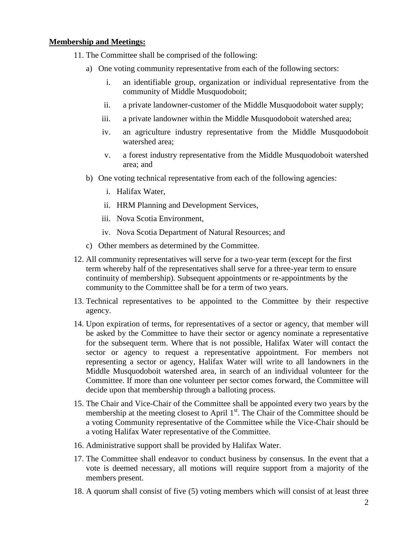#### **Membership and Meetings:**

- 11. The Committee shall be comprised of the following:
	- a) One voting community representative from each of the following sectors:
		- i. an identifiable group, organization or individual representative from the community of Middle Musquodoboit;
		- ii. a private landowner-customer of the Middle Musquodoboit water supply;
		- iii. a private landowner within the Middle Musquodoboit watershed area;
		- iv. an agriculture industry representative from the Middle Musquodoboit watershed area;
		- v. a forest industry representative from the Middle Musquodoboit watershed area; and
	- b) One voting technical representative from each of the following agencies:
		- i. Halifax Water,
		- ii. HRM Planning and Development Services,
		- iii. Nova Scotia Environment,
		- iv. Nova Scotia Department of Natural Resources; and
	- c) Other members as determined by the Committee.
- 12. All community representatives will serve for a two-year term (except for the first term whereby half of the representatives shall serve for a three-year term to ensure continuity of membership). Subsequent appointments or re-appointments by the community to the Committee shall be for a term of two years.
- 13. Technical representatives to be appointed to the Committee by their respective agency.
- 14. Upon expiration of terms, for representatives of a sector or agency, that member will be asked by the Committee to have their sector or agency nominate a representative for the subsequent term. Where that is not possible, Halifax Water will contact the sector or agency to request a representative appointment. For members not representing a sector or agency, Halifax Water will write to all landowners in the Middle Musquodoboit watershed area, in search of an individual volunteer for the Committee. If more than one volunteer per sector comes forward, the Committee will decide upon that membership through a balloting process.
- 15. The Chair and Vice-Chair of the Committee shall be appointed every two years by the membership at the meeting closest to April  $1<sup>st</sup>$ . The Chair of the Committee should be a voting Community representative of the Committee while the Vice-Chair should be a voting Halifax Water representative of the Committee.
- 16. Administrative support shall be provided by Halifax Water.
- 17. The Committee shall endeavor to conduct business by consensus. In the event that a vote is deemed necessary, all motions will require support from a majority of the members present.
- 18. A quorum shall consist of five (5) voting members which will consist of at least three